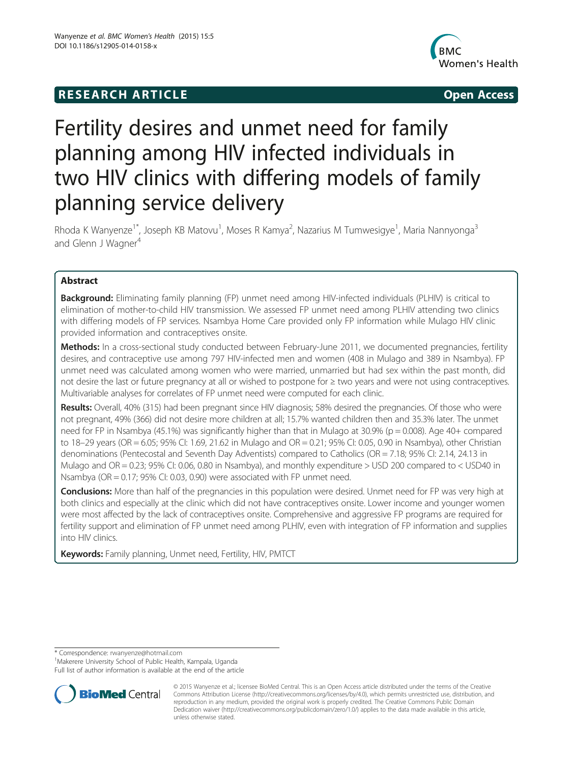# **RESEARCH ARTICLE Example 2014 The SEAR CH ACCESS**



# Fertility desires and unmet need for family planning among HIV infected individuals in two HIV clinics with differing models of family planning service delivery

Rhoda K Wanyenze<sup>1\*</sup>, Joseph KB Matovu<sup>1</sup>, Moses R Kamya<sup>2</sup>, Nazarius M Tumwesigye<sup>1</sup>, Maria Nannyonga<sup>3</sup> and Glenn J Wagner<sup>4</sup>

# Abstract

Background: Eliminating family planning (FP) unmet need among HIV-infected individuals (PLHIV) is critical to elimination of mother-to-child HIV transmission. We assessed FP unmet need among PLHIV attending two clinics with differing models of FP services. Nsambya Home Care provided only FP information while Mulago HIV clinic provided information and contraceptives onsite.

Methods: In a cross-sectional study conducted between February-June 2011, we documented pregnancies, fertility desires, and contraceptive use among 797 HIV-infected men and women (408 in Mulago and 389 in Nsambya). FP unmet need was calculated among women who were married, unmarried but had sex within the past month, did not desire the last or future pregnancy at all or wished to postpone for ≥ two years and were not using contraceptives. Multivariable analyses for correlates of FP unmet need were computed for each clinic.

Results: Overall, 40% (315) had been pregnant since HIV diagnosis; 58% desired the pregnancies. Of those who were not pregnant, 49% (366) did not desire more children at all; 15.7% wanted children then and 35.3% later. The unmet need for FP in Nsambya (45.1%) was significantly higher than that in Mulago at 30.9% ( $p = 0.008$ ). Age 40+ compared to 18–29 years (OR = 6.05; 95% CI: 1.69, 21.62 in Mulago and OR = 0.21; 95% CI: 0.05, 0.90 in Nsambya), other Christian denominations (Pentecostal and Seventh Day Adventists) compared to Catholics (OR = 7.18; 95% CI: 2.14, 24.13 in Mulago and OR = 0.23; 95% CI: 0.06, 0.80 in Nsambya), and monthly expenditure > USD 200 compared to < USD40 in Nsambya (OR = 0.17; 95% CI: 0.03, 0.90) were associated with FP unmet need.

Conclusions: More than half of the pregnancies in this population were desired. Unmet need for FP was very high at both clinics and especially at the clinic which did not have contraceptives onsite. Lower income and younger women were most affected by the lack of contraceptives onsite. Comprehensive and aggressive FP programs are required for fertility support and elimination of FP unmet need among PLHIV, even with integration of FP information and supplies into HIV clinics.

Keywords: Family planning, Unmet need, Fertility, HIV, PMTCT

\* Correspondence: [rwanyenze@hotmail.com](mailto:rwanyenze@hotmail.com) <sup>1</sup>

<sup>1</sup>Makerere University School of Public Health, Kampala, Uganda

Full list of author information is available at the end of the article



<sup>© 2015</sup> Wanyenze et al.; licensee BioMed Central. This is an Open Access article distributed under the terms of the Creative Commons Attribution License [\(http://creativecommons.org/licenses/by/4.0\)](http://creativecommons.org/licenses/by/4.0), which permits unrestricted use, distribution, and reproduction in any medium, provided the original work is properly credited. The Creative Commons Public Domain Dedication waiver [\(http://creativecommons.org/publicdomain/zero/1.0/](http://creativecommons.org/publicdomain/zero/1.0/)) applies to the data made available in this article, unless otherwise stated.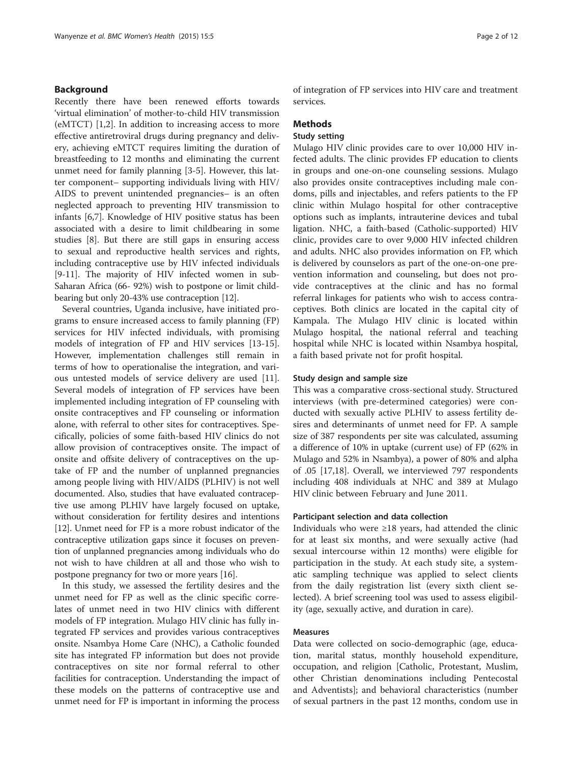# Background

Recently there have been renewed efforts towards 'virtual elimination' of mother-to-child HIV transmission (eMTCT) [[1,2\]](#page-10-0). In addition to increasing access to more effective antiretroviral drugs during pregnancy and delivery, achieving eMTCT requires limiting the duration of breastfeeding to 12 months and eliminating the current unmet need for family planning [\[3](#page-10-0)-[5\]](#page-10-0). However, this latter component– supporting individuals living with HIV/ AIDS to prevent unintended pregnancies– is an often neglected approach to preventing HIV transmission to infants [[6,7\]](#page-10-0). Knowledge of HIV positive status has been associated with a desire to limit childbearing in some studies [[8\]](#page-10-0). But there are still gaps in ensuring access to sexual and reproductive health services and rights, including contraceptive use by HIV infected individuals [[9-11\]](#page-10-0). The majority of HIV infected women in sub-Saharan Africa (66- 92%) wish to postpone or limit childbearing but only 20-43% use contraception [[12](#page-10-0)].

Several countries, Uganda inclusive, have initiated programs to ensure increased access to family planning (FP) services for HIV infected individuals, with promising models of integration of FP and HIV services [\[13-15](#page-10-0)]. However, implementation challenges still remain in terms of how to operationalise the integration, and various untested models of service delivery are used [\[11](#page-10-0)]. Several models of integration of FP services have been implemented including integration of FP counseling with onsite contraceptives and FP counseling or information alone, with referral to other sites for contraceptives. Specifically, policies of some faith-based HIV clinics do not allow provision of contraceptives onsite. The impact of onsite and offsite delivery of contraceptives on the uptake of FP and the number of unplanned pregnancies among people living with HIV/AIDS (PLHIV) is not well documented. Also, studies that have evaluated contraceptive use among PLHIV have largely focused on uptake, without consideration for fertility desires and intentions [[12](#page-10-0)]. Unmet need for FP is a more robust indicator of the contraceptive utilization gaps since it focuses on prevention of unplanned pregnancies among individuals who do not wish to have children at all and those who wish to postpone pregnancy for two or more years [\[16\]](#page-10-0).

In this study, we assessed the fertility desires and the unmet need for FP as well as the clinic specific correlates of unmet need in two HIV clinics with different models of FP integration. Mulago HIV clinic has fully integrated FP services and provides various contraceptives onsite. Nsambya Home Care (NHC), a Catholic founded site has integrated FP information but does not provide contraceptives on site nor formal referral to other facilities for contraception. Understanding the impact of these models on the patterns of contraceptive use and unmet need for FP is important in informing the process of integration of FP services into HIV care and treatment services.

# Methods

# Study setting

Mulago HIV clinic provides care to over 10,000 HIV infected adults. The clinic provides FP education to clients in groups and one-on-one counseling sessions. Mulago also provides onsite contraceptives including male condoms, pills and injectables, and refers patients to the FP clinic within Mulago hospital for other contraceptive options such as implants, intrauterine devices and tubal ligation. NHC, a faith-based (Catholic-supported) HIV clinic, provides care to over 9,000 HIV infected children and adults. NHC also provides information on FP, which is delivered by counselors as part of the one-on-one prevention information and counseling, but does not provide contraceptives at the clinic and has no formal referral linkages for patients who wish to access contraceptives. Both clinics are located in the capital city of Kampala. The Mulago HIV clinic is located within Mulago hospital, the national referral and teaching hospital while NHC is located within Nsambya hospital, a faith based private not for profit hospital.

#### Study design and sample size

This was a comparative cross-sectional study. Structured interviews (with pre-determined categories) were conducted with sexually active PLHIV to assess fertility desires and determinants of unmet need for FP. A sample size of 387 respondents per site was calculated, assuming a difference of 10% in uptake (current use) of FP (62% in Mulago and 52% in Nsambya), a power of 80% and alpha of .05 [\[17,18\]](#page-10-0). Overall, we interviewed 797 respondents including 408 individuals at NHC and 389 at Mulago HIV clinic between February and June 2011.

#### Participant selection and data collection

Individuals who were ≥18 years, had attended the clinic for at least six months, and were sexually active (had sexual intercourse within 12 months) were eligible for participation in the study. At each study site, a systematic sampling technique was applied to select clients from the daily registration list (every sixth client selected). A brief screening tool was used to assess eligibility (age, sexually active, and duration in care).

#### Measures

Data were collected on socio-demographic (age, education, marital status, monthly household expenditure, occupation, and religion [Catholic, Protestant, Muslim, other Christian denominations including Pentecostal and Adventists]; and behavioral characteristics (number of sexual partners in the past 12 months, condom use in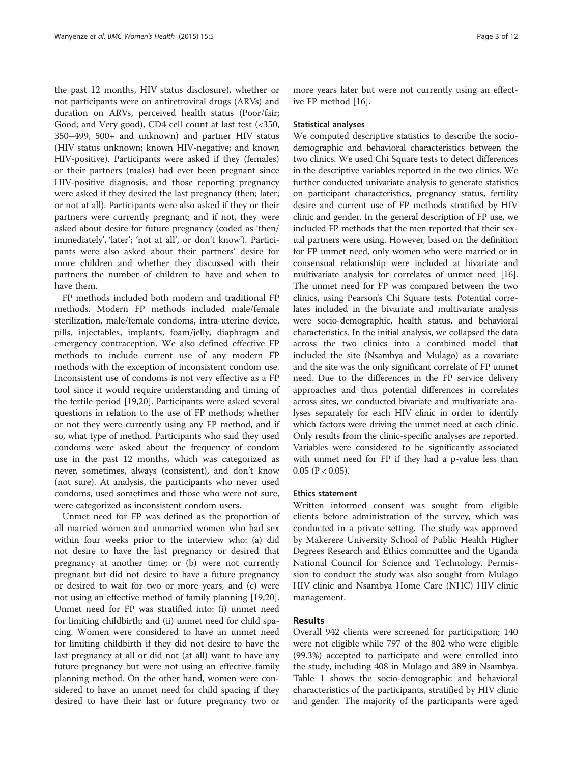the past 12 months, HIV status disclosure), whether or not participants were on antiretroviral drugs (ARVs) and duration on ARVs, perceived health status (Poor/fair; Good; and Very good), CD4 cell count at last test (<350, 350–499, 500+ and unknown) and partner HIV status (HIV status unknown; known HIV-negative; and known HIV-positive). Participants were asked if they (females) or their partners (males) had ever been pregnant since HIV-positive diagnosis, and those reporting pregnancy were asked if they desired the last pregnancy (then; later; or not at all). Participants were also asked if they or their partners were currently pregnant; and if not, they were asked about desire for future pregnancy (coded as 'then/ immediately', 'later'; 'not at all', or don't know'). Participants were also asked about their partners' desire for more children and whether they discussed with their partners the number of children to have and when to have them.

FP methods included both modern and traditional FP methods. Modern FP methods included male/female sterilization, male/female condoms, intra-uterine device, pills, injectables, implants, foam/jelly, diaphragm and emergency contraception. We also defined effective FP methods to include current use of any modern FP methods with the exception of inconsistent condom use. Inconsistent use of condoms is not very effective as a FP tool since it would require understanding and timing of the fertile period [\[19,20](#page-10-0)]. Participants were asked several questions in relation to the use of FP methods; whether or not they were currently using any FP method, and if so, what type of method. Participants who said they used condoms were asked about the frequency of condom use in the past 12 months, which was categorized as never, sometimes, always (consistent), and don't know (not sure). At analysis, the participants who never used condoms, used sometimes and those who were not sure, were categorized as inconsistent condom users.

Unmet need for FP was defined as the proportion of all married women and unmarried women who had sex within four weeks prior to the interview who: (a) did not desire to have the last pregnancy or desired that pregnancy at another time; or (b) were not currently pregnant but did not desire to have a future pregnancy or desired to wait for two or more years; and (c) were not using an effective method of family planning [\[19,20](#page-10-0)]. Unmet need for FP was stratified into: (i) unmet need for limiting childbirth; and (ii) unmet need for child spacing. Women were considered to have an unmet need for limiting childbirth if they did not desire to have the last pregnancy at all or did not (at all) want to have any future pregnancy but were not using an effective family planning method. On the other hand, women were considered to have an unmet need for child spacing if they desired to have their last or future pregnancy two or

more years later but were not currently using an effective FP method [\[16\]](#page-10-0).

#### Statistical analyses

We computed descriptive statistics to describe the sociodemographic and behavioral characteristics between the two clinics. We used Chi Square tests to detect differences in the descriptive variables reported in the two clinics. We further conducted univariate analysis to generate statistics on participant characteristics, pregnancy status, fertility desire and current use of FP methods stratified by HIV clinic and gender. In the general description of FP use, we included FP methods that the men reported that their sexual partners were using. However, based on the definition for FP unmet need, only women who were married or in consensual relationship were included at bivariate and multivariate analysis for correlates of unmet need [[16](#page-10-0)]. The unmet need for FP was compared between the two clinics, using Pearson's Chi Square tests. Potential correlates included in the bivariate and multivariate analysis were socio-demographic, health status, and behavioral characteristics. In the initial analysis, we collapsed the data across the two clinics into a combined model that included the site (Nsambya and Mulago) as a covariate and the site was the only significant correlate of FP unmet need. Due to the differences in the FP service delivery approaches and thus potential differences in correlates across sites, we conducted bivariate and multivariate analyses separately for each HIV clinic in order to identify which factors were driving the unmet need at each clinic. Only results from the clinic-specific analyses are reported. Variables were considered to be significantly associated with unmet need for FP if they had a p-value less than 0.05 ( $P < 0.05$ ).

#### Ethics statement

Written informed consent was sought from eligible clients before administration of the survey, which was conducted in a private setting. The study was approved by Makerere University School of Public Health Higher Degrees Research and Ethics committee and the Uganda National Council for Science and Technology. Permission to conduct the study was also sought from Mulago HIV clinic and Nsambya Home Care (NHC) HIV clinic management.

# Results

Overall 942 clients were screened for participation; 140 were not eligible while 797 of the 802 who were eligible (99.3%) accepted to participate and were enrolled into the study, including 408 in Mulago and 389 in Nsambya. Table [1](#page-3-0) shows the socio-demographic and behavioral characteristics of the participants, stratified by HIV clinic and gender. The majority of the participants were aged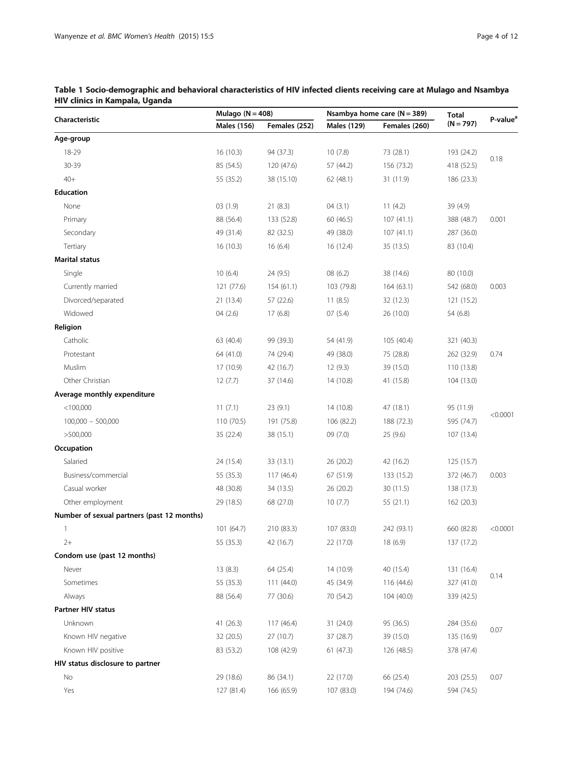| Characteristic                             | Mulago ( $N = 408$ ) |               | Nsambya home care $(N = 389)$ |               | <b>Total</b> |                      |
|--------------------------------------------|----------------------|---------------|-------------------------------|---------------|--------------|----------------------|
|                                            | Males (156)          | Females (252) | Males (129)                   | Females (260) | $(N = 797)$  | P-value <sup>a</sup> |
| Age-group                                  |                      |               |                               |               |              |                      |
| 18-29                                      | 16(10.3)             | 94 (37.3)     | 10(7.8)                       | 73 (28.1)     | 193 (24.2)   |                      |
| 30-39                                      | 85 (54.5)            | 120 (47.6)    | 57 (44.2)                     | 156 (73.2)    | 418 (52.5)   | 0.18                 |
| $40+$                                      | 55 (35.2)            | 38 (15.10)    | 62(48.1)                      | 31 (11.9)     | 186 (23.3)   |                      |
| <b>Education</b>                           |                      |               |                               |               |              |                      |
| None                                       | 03 (1.9)             | 21(8.3)       | 04(3.1)                       | 11(4.2)       | 39 (4.9)     |                      |
| Primary                                    | 88 (56.4)            | 133 (52.8)    | 60(46.5)                      | 107(41.1)     | 388 (48.7)   | 0.001                |
| Secondary                                  | 49 (31.4)            | 82 (32.5)     | 49 (38.0)                     | 107(41.1)     | 287 (36.0)   |                      |
| Tertiary                                   | 16(10.3)             | 16(6.4)       | 16 (12.4)                     | 35 (13.5)     | 83 (10.4)    |                      |
| <b>Marital status</b>                      |                      |               |                               |               |              |                      |
| Single                                     | 10(6.4)              | 24(9.5)       | 08(6.2)                       | 38 (14.6)     | 80 (10.0)    |                      |
| Currently married                          | 121 (77.6)           | 154(61.1)     | 103 (79.8)                    | 164(63.1)     | 542 (68.0)   | 0.003                |
| Divorced/separated                         | 21 (13.4)            | 57 (22.6)     | 11(8.5)                       | 32 (12.3)     | 121 (15.2)   |                      |
| Widowed                                    | 04(2.6)              | 17(6.8)       | 07(5.4)                       | 26 (10.0)     | 54 (6.8)     |                      |
| Religion                                   |                      |               |                               |               |              |                      |
| Catholic                                   | 63 (40.4)            | 99 (39.3)     | 54 (41.9)                     | 105 (40.4)    | 321 (40.3)   |                      |
| Protestant                                 | 64 (41.0)            | 74 (29.4)     | 49 (38.0)                     | 75 (28.8)     | 262 (32.9)   | 0.74                 |
| Muslim                                     | 17 (10.9)            | 42 (16.7)     | 12(9.3)                       | 39 (15.0)     | 110 (13.8)   |                      |
| Other Christian                            | 12(7.7)              | 37 (14.6)     | 14 (10.8)                     | 41 (15.8)     | 104 (13.0)   |                      |
| Average monthly expenditure                |                      |               |                               |               |              |                      |
| $<$ 100,000                                | 11(7.1)              | 23 (9.1)      | 14 (10.8)                     | 47 (18.1)     | 95 (11.9)    |                      |
| $100,000 - 500,000$                        | 110 (70.5)           | 191 (75.8)    | 106 (82.2)                    | 188 (72.3)    | 595 (74.7)   | < 0.0001             |
| >500,000                                   | 35 (22.4)            | 38 (15.1)     | 09(7.0)                       | 25(9.6)       | 107 (13.4)   |                      |
| Occupation                                 |                      |               |                               |               |              |                      |
| Salaried                                   | 24 (15.4)            | 33 (13.1)     | 26 (20.2)                     | 42 (16.2)     | 125(15.7)    |                      |
| Business/commercial                        | 55 (35.3)            | 117(46.4)     | 67 (51.9)                     | 133 (15.2)    | 372 (46.7)   | 0.003                |
| Casual worker                              | 48 (30.8)            | 34 (13.5)     | 26 (20.2)                     | 30(11.5)      | 138 (17.3)   |                      |
| Other employment                           | 29 (18.5)            | 68 (27.0)     | 10(7.7)                       | 55 (21.1)     | 162 (20.3)   |                      |
| Number of sexual partners (past 12 months) |                      |               |                               |               |              |                      |
| $\mathbf{1}$                               | 101 (64.7)           | 210 (83.3)    | 107 (83.0)                    | 242 (93.1)    | 660 (82.8)   | < 0.0001             |
| $2+$                                       | 55 (35.3)            | 42 (16.7)     | 22 (17.0)                     | 18 (6.9)      | 137 (17.2)   |                      |
| Condom use (past 12 months)                |                      |               |                               |               |              |                      |
| Never                                      | 13(8.3)              | 64 (25.4)     | 14 (10.9)                     | 40 (15.4)     | 131 (16.4)   |                      |
| Sometimes                                  | 55 (35.3)            | 111 (44.0)    | 45 (34.9)                     | 116 (44.6)    | 327 (41.0)   | 0.14                 |
| Always                                     | 88 (56.4)            | 77 (30.6)     | 70 (54.2)                     | 104 (40.0)    | 339 (42.5)   |                      |
| Partner HIV status                         |                      |               |                               |               |              |                      |
| Unknown                                    | 41(26.3)             | 117 (46.4)    | 31 (24.0)                     | 95 (36.5)     | 284 (35.6)   |                      |
| Known HIV negative                         | 32 (20.5)            | 27(10.7)      | 37 (28.7)                     | 39 (15.0)     | 135 (16.9)   | 0.07                 |
| Known HIV positive                         | 83 (53.2)            | 108 (42.9)    | 61(47.3)                      | 126 (48.5)    | 378 (47.4)   |                      |
| HIV status disclosure to partner           |                      |               |                               |               |              |                      |
| No                                         | 29 (18.6)            | 86 (34.1)     | 22 (17.0)                     | 66 (25.4)     | 203 (25.5)   | 0.07                 |
| Yes                                        | 127 (81.4)           | 166 (65.9)    | 107 (83.0)                    | 194 (74.6)    | 594 (74.5)   |                      |

<span id="page-3-0"></span>Table 1 Socio-demographic and behavioral characteristics of HIV infected clients receiving care at Mulago and Nsambya HIV clinics in Kampala, Uganda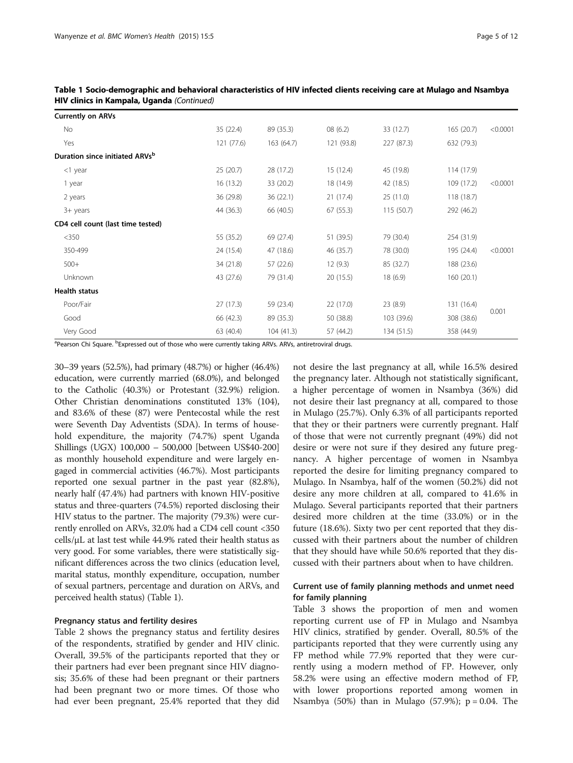| <b>Currently on ARVs</b>                   |            |            |            |            |            |          |
|--------------------------------------------|------------|------------|------------|------------|------------|----------|
| No                                         | 35 (22.4)  | 89 (35.3)  | 08(6.2)    | 33 (12.7)  | 165 (20.7) | < 0.0001 |
| Yes                                        | 121 (77.6) | 163 (64.7) | 121 (93.8) | 227 (87.3) | 632 (79.3) |          |
| Duration since initiated ARVs <sup>b</sup> |            |            |            |            |            |          |
| <1 year                                    | 25(20.7)   | 28 (17.2)  | 15(12.4)   | 45 (19.8)  | 114 (17.9) |          |
| 1 year                                     | 16 (13.2)  | 33 (20.2)  | 18 (14.9)  | 42 (18.5)  | 109 (17.2) | < 0.0001 |
| 2 years                                    | 36 (29.8)  | 36(22.1)   | 21(17.4)   | 25(11.0)   | 118(18.7)  |          |
| $3+$ years                                 | 44 (36.3)  | 66 (40.5)  | 67(55.3)   | 115 (50.7) | 292 (46.2) |          |
| CD4 cell count (last time tested)          |            |            |            |            |            |          |
| $<$ 350                                    | 55 (35.2)  | 69 (27.4)  | 51 (39.5)  | 79 (30.4)  | 254 (31.9) |          |
| 350-499                                    | 24 (15.4)  | 47 (18.6)  | 46 (35.7)  | 78 (30.0)  | 195 (24.4) | < 0.0001 |
| $500+$                                     | 34 (21.8)  | 57 (22.6)  | 12(9.3)    | 85 (32.7)  | 188 (23.6) |          |
| Unknown                                    | 43 (27.6)  | 79 (31.4)  | 20 (15.5)  | 18(6.9)    | 160(20.1)  |          |
| <b>Health status</b>                       |            |            |            |            |            |          |
| Poor/Fair                                  | 27(17.3)   | 59 (23.4)  | 22 (17.0)  | 23(8.9)    | 131 (16.4) |          |
| Good                                       | 66 (42.3)  | 89 (35.3)  | 50 (38.8)  | 103 (39.6) | 308 (38.6) | 0.001    |
| Very Good                                  | 63 (40.4)  | 104(41.3)  | 57 (44.2)  | 134 (51.5) | 358 (44.9) |          |

Table 1 Socio-demographic and behavioral characteristics of HIV infected clients receiving care at Mulago and Nsambya HIV clinics in Kampala, Uganda (Continued)

<sup>a</sup>Pearson Chi Square. <sup>b</sup>Expressed out of those who were currently taking ARVs. ARVs, antiretroviral drugs.

30–39 years (52.5%), had primary (48.7%) or higher (46.4%) education, were currently married (68.0%), and belonged to the Catholic (40.3%) or Protestant (32.9%) religion. Other Christian denominations constituted 13% (104), and 83.6% of these (87) were Pentecostal while the rest were Seventh Day Adventists (SDA). In terms of household expenditure, the majority (74.7%) spent Uganda Shillings (UGX) 100,000 – 500,000 [between US\$40-200] as monthly household expenditure and were largely engaged in commercial activities (46.7%). Most participants reported one sexual partner in the past year (82.8%), nearly half (47.4%) had partners with known HIV-positive status and three-quarters (74.5%) reported disclosing their HIV status to the partner. The majority (79.3%) were currently enrolled on ARVs, 32.0% had a CD4 cell count <350 cells/μL at last test while 44.9% rated their health status as very good. For some variables, there were statistically significant differences across the two clinics (education level, marital status, monthly expenditure, occupation, number of sexual partners, percentage and duration on ARVs, and perceived health status) (Table [1](#page-3-0)).

# Pregnancy status and fertility desires

Table [2](#page-5-0) shows the pregnancy status and fertility desires of the respondents, stratified by gender and HIV clinic. Overall, 39.5% of the participants reported that they or their partners had ever been pregnant since HIV diagnosis; 35.6% of these had been pregnant or their partners had been pregnant two or more times. Of those who had ever been pregnant, 25.4% reported that they did not desire the last pregnancy at all, while 16.5% desired the pregnancy later. Although not statistically significant, a higher percentage of women in Nsambya (36%) did not desire their last pregnancy at all, compared to those in Mulago (25.7%). Only 6.3% of all participants reported that they or their partners were currently pregnant. Half of those that were not currently pregnant (49%) did not desire or were not sure if they desired any future pregnancy. A higher percentage of women in Nsambya reported the desire for limiting pregnancy compared to Mulago. In Nsambya, half of the women (50.2%) did not desire any more children at all, compared to 41.6% in Mulago. Several participants reported that their partners desired more children at the time (33.0%) or in the future (18.6%). Sixty two per cent reported that they discussed with their partners about the number of children that they should have while 50.6% reported that they discussed with their partners about when to have children.

# Current use of family planning methods and unmet need for family planning

Table [3](#page-6-0) shows the proportion of men and women reporting current use of FP in Mulago and Nsambya HIV clinics, stratified by gender. Overall, 80.5% of the participants reported that they were currently using any FP method while 77.9% reported that they were currently using a modern method of FP. However, only 58.2% were using an effective modern method of FP, with lower proportions reported among women in Nsambya (50%) than in Mulago (57.9%);  $p = 0.04$ . The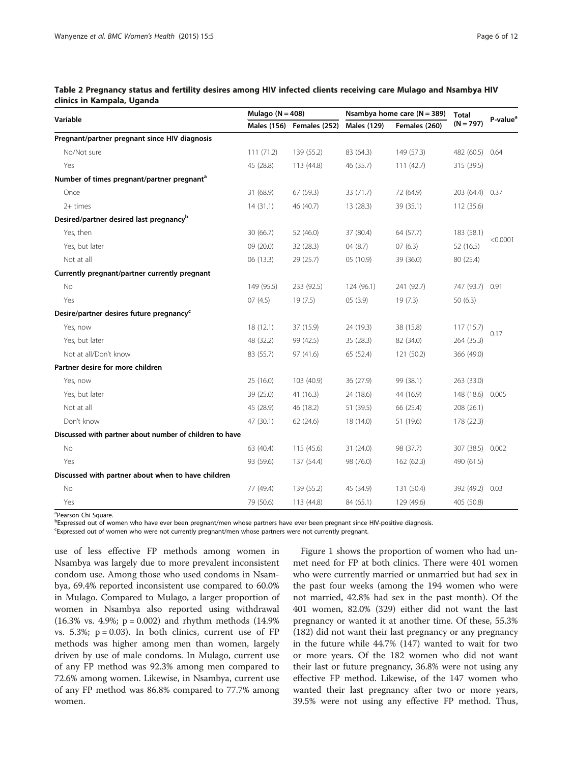| Variable                                                | Mulago ( $N = 408$ ) |               | Nsambya home care ( $N = 389$ ) |               | <b>Total</b>     | P-value <sup>a</sup> |
|---------------------------------------------------------|----------------------|---------------|---------------------------------|---------------|------------------|----------------------|
|                                                         | Males (156)          | Females (252) | <b>Males (129)</b>              | Females (260) | $(N = 797)$      |                      |
| Pregnant/partner pregnant since HIV diagnosis           |                      |               |                                 |               |                  |                      |
| No/Not sure                                             | 111(71.2)            | 139 (55.2)    | 83 (64.3)                       | 149 (57.3)    | 482 (60.5) 0.64  |                      |
| Yes                                                     | 45 (28.8)            | 113 (44.8)    | 46 (35.7)                       | 111(42.7)     | 315 (39.5)       |                      |
| Number of times pregnant/partner pregnant <sup>a</sup>  |                      |               |                                 |               |                  |                      |
| Once                                                    | 31 (68.9)            | 67 (59.3)     | 33 (71.7)                       | 72 (64.9)     | 203 (64.4) 0.37  |                      |
| 2+ times                                                | 14(31.1)             | 46 (40.7)     | 13(28.3)                        | 39 (35.1)     | 112 (35.6)       |                      |
| Desired/partner desired last pregnancy <sup>b</sup>     |                      |               |                                 |               |                  |                      |
| Yes, then                                               | 30(66.7)             | 52 (46.0)     | 37 (80.4)                       | 64 (57.7)     | 183 (58.1)       |                      |
| Yes, but later                                          | 09(20.0)             | 32 (28.3)     | 04(8.7)                         | 07(6.3)       | 52 (16.5)        | < 0.0001             |
| Not at all                                              | 06 (13.3)            | 29 (25.7)     | 05 (10.9)                       | 39 (36.0)     | 80 (25.4)        |                      |
| Currently pregnant/partner currently pregnant           |                      |               |                                 |               |                  |                      |
| No                                                      | 149 (95.5)           | 233 (92.5)    | 124 (96.1)                      | 241 (92.7)    | 747 (93.7) 0.91  |                      |
| Yes                                                     | 07(4.5)              | 19(7.5)       | 05(3.9)                         | 19(7.3)       | 50(6.3)          |                      |
| Desire/partner desires future pregnancy <sup>c</sup>    |                      |               |                                 |               |                  |                      |
| Yes, now                                                | 18(12.1)             | 37 (15.9)     | 24 (19.3)                       | 38 (15.8)     | 117(15.7)        |                      |
| Yes, but later                                          | 48 (32.2)            | 99 (42.5)     | 35 (28.3)                       | 82 (34.0)     | 264 (35.3)       | 0.17                 |
| Not at all/Don't know                                   | 83 (55.7)            | 97 (41.6)     | 65 (52.4)                       | 121 (50.2)    | 366 (49.0)       |                      |
| Partner desire for more children                        |                      |               |                                 |               |                  |                      |
| Yes, now                                                | 25(16.0)             | 103 (40.9)    | 36 (27.9)                       | 99 (38.1)     | 263 (33.0)       |                      |
| Yes, but later                                          | 39 (25.0)            | 41 (16.3)     | 24 (18.6)                       | 44 (16.9)     | 148 (18.6) 0.005 |                      |
| Not at all                                              | 45 (28.9)            | 46 (18.2)     | 51 (39.5)                       | 66 (25.4)     | 208 (26.1)       |                      |
| Don't know                                              | 47 (30.1)            | 62 (24.6)     | 18 (14.0)                       | 51 (19.6)     | 178 (22.3)       |                      |
| Discussed with partner about number of children to have |                      |               |                                 |               |                  |                      |
| No                                                      | 63 (40.4)            | 115 (45.6)    | 31 (24.0)                       | 98 (37.7)     | 307 (38.5) 0.002 |                      |
| Yes                                                     | 93 (59.6)            | 137 (54.4)    | 98 (76.0)                       | 162(62.3)     | 490 (61.5)       |                      |
| Discussed with partner about when to have children      |                      |               |                                 |               |                  |                      |
| No                                                      | 77 (49.4)            | 139 (55.2)    | 45 (34.9)                       | 131 (50.4)    | 392 (49.2) 0.03  |                      |
| Yes                                                     | 79 (50.6)            | 113 (44.8)    | 84 (65.1)                       | 129 (49.6)    | 405 (50.8)       |                      |

<span id="page-5-0"></span>

|                            | Table 2 Pregnancy status and fertility desires among HIV infected clients receiving care Mulago and Nsambya HIV |  |  |  |
|----------------------------|-----------------------------------------------------------------------------------------------------------------|--|--|--|
| clinics in Kampala, Uganda |                                                                                                                 |  |  |  |

<sup>a</sup>Pearson Chi Square.

bExpressed out of women who have ever been pregnant/men whose partners have ever been pregnant since HIV-positive diagnosis.

c Expressed out of women who were not currently pregnant/men whose partners were not currently pregnant.

use of less effective FP methods among women in Nsambya was largely due to more prevalent inconsistent condom use. Among those who used condoms in Nsambya, 69.4% reported inconsistent use compared to 60.0% in Mulago. Compared to Mulago, a larger proportion of women in Nsambya also reported using withdrawal (16.3% vs. 4.9%;  $p = 0.002$ ) and rhythm methods (14.9%) vs. 5.3%;  $p = 0.03$ ). In both clinics, current use of FP methods was higher among men than women, largely driven by use of male condoms. In Mulago, current use of any FP method was 92.3% among men compared to 72.6% among women. Likewise, in Nsambya, current use of any FP method was 86.8% compared to 77.7% among women.

Figure [1](#page-7-0) shows the proportion of women who had unmet need for FP at both clinics. There were 401 women who were currently married or unmarried but had sex in the past four weeks (among the 194 women who were not married, 42.8% had sex in the past month). Of the 401 women, 82.0% (329) either did not want the last pregnancy or wanted it at another time. Of these, 55.3% (182) did not want their last pregnancy or any pregnancy in the future while 44.7% (147) wanted to wait for two or more years. Of the 182 women who did not want their last or future pregnancy, 36.8% were not using any effective FP method. Likewise, of the 147 women who wanted their last pregnancy after two or more years, 39.5% were not using any effective FP method. Thus,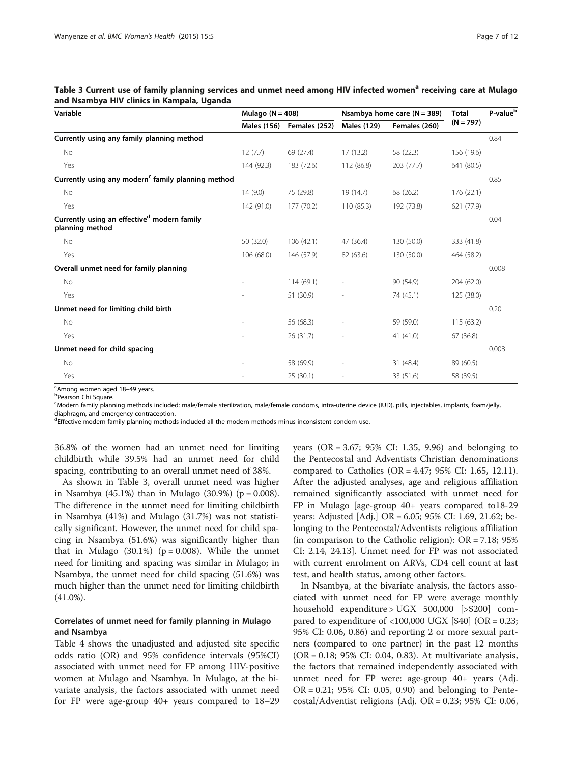| Variable                                                                   | Mulago ( $N = 408$ )     |               | Nsambya home care $(N = 389)$ |               | <b>Total</b> | P-value <sup>b</sup> |
|----------------------------------------------------------------------------|--------------------------|---------------|-------------------------------|---------------|--------------|----------------------|
|                                                                            | Males (156)              | Females (252) | <b>Males (129)</b>            | Females (260) | $(N = 797)$  |                      |
| Currently using any family planning method                                 |                          |               |                               |               |              | 0.84                 |
| <b>No</b>                                                                  | 12(7.7)                  | 69 (27.4)     | 17(13.2)                      | 58 (22.3)     | 156 (19.6)   |                      |
| Yes                                                                        | 144 (92.3)               | 183 (72.6)    | 112 (86.8)                    | 203 (77.7)    | 641 (80.5)   |                      |
| Currently using any modern <sup>c</sup> family planning method             |                          |               |                               |               |              | 0.85                 |
| No                                                                         | 14(9.0)                  | 75 (29.8)     | 19 (14.7)                     | 68 (26.2)     | 176(22.1)    |                      |
| Yes                                                                        | 142 (91.0)               | 177 (70.2)    | 110 (85.3)                    | 192 (73.8)    | 621 (77.9)   |                      |
| Currently using an effective <sup>d</sup> modern family<br>planning method |                          |               |                               |               |              | 0.04                 |
| No                                                                         | 50 (32.0)                | 106(42.1)     | 47 (36.4)                     | 130 (50.0)    | 333 (41.8)   |                      |
| Yes                                                                        | 106(68.0)                | 146 (57.9)    | 82 (63.6)                     | 130 (50.0)    | 464 (58.2)   |                      |
| Overall unmet need for family planning                                     |                          |               |                               |               |              | 0.008                |
| <b>No</b>                                                                  |                          | 114(69.1)     | $\overline{a}$                | 90 (54.9)     | 204 (62.0)   |                      |
| Yes                                                                        |                          | 51 (30.9)     |                               | 74 (45.1)     | 125 (38.0)   |                      |
| Unmet need for limiting child birth                                        |                          |               |                               |               |              | 0.20                 |
| No                                                                         |                          | 56 (68.3)     |                               | 59 (59.0)     | 115(63.2)    |                      |
| Yes                                                                        | $\overline{\phantom{0}}$ | 26 (31.7)     | $\qquad \qquad$               | 41 (41.0)     | 67(36.8)     |                      |
| Unmet need for child spacing                                               |                          |               |                               |               |              | 0.008                |
| No                                                                         |                          | 58 (69.9)     | $\overline{a}$                | 31(48.4)      | 89 (60.5)    |                      |
| Yes                                                                        |                          | 25(30.1)      | $\overline{a}$                | 33 (51.6)     | 58 (39.5)    |                      |

<span id="page-6-0"></span>

| Table 3 Current use of family planning services and unmet need among HIV infected women <sup>a</sup> receiving care at Mulago |  |
|-------------------------------------------------------------------------------------------------------------------------------|--|
| and Nsambya HIV clinics in Kampala, Uganda                                                                                    |  |

<sup>a</sup>Among women aged 18–49 years.<br><sup>b</sup>Bearson Chi Square

<sup>b</sup>Pearson Chi Square.

c Modern family planning methods included: male/female sterilization, male/female condoms, intra-uterine device (IUD), pills, injectables, implants, foam/jelly,

diaphragm, and emergency contraception.

dEffective modern family planning methods included all the modern methods minus inconsistent condom use.

36.8% of the women had an unmet need for limiting childbirth while 39.5% had an unmet need for child spacing, contributing to an overall unmet need of 38%.

As shown in Table 3, overall unmet need was higher in Nsambya (45.1%) than in Mulago (30.9%) ( $p = 0.008$ ). The difference in the unmet need for limiting childbirth in Nsambya (41%) and Mulago (31.7%) was not statistically significant. However, the unmet need for child spacing in Nsambya (51.6%) was significantly higher than that in Mulago  $(30.1\%)$  (p = 0.008). While the unmet need for limiting and spacing was similar in Mulago; in Nsambya, the unmet need for child spacing (51.6%) was much higher than the unmet need for limiting childbirth (41.0%).

# Correlates of unmet need for family planning in Mulago and Nsambya

Table [4](#page-8-0) shows the unadjusted and adjusted site specific odds ratio (OR) and 95% confidence intervals (95%CI) associated with unmet need for FP among HIV-positive women at Mulago and Nsambya. In Mulago, at the bivariate analysis, the factors associated with unmet need for FP were age-group 40+ years compared to 18–29 years (OR = 3.67; 95% CI: 1.35, 9.96) and belonging to the Pentecostal and Adventists Christian denominations compared to Catholics (OR = 4.47; 95% CI: 1.65, 12.11). After the adjusted analyses, age and religious affiliation remained significantly associated with unmet need for FP in Mulago [age-group 40+ years compared to18-29 years: Adjusted [Adj.] OR = 6.05; 95% CI: 1.69, 21.62; belonging to the Pentecostal/Adventists religious affiliation (in comparison to the Catholic religion):  $OR = 7.18$ ; 95% CI: 2.14, 24.13]. Unmet need for FP was not associated with current enrolment on ARVs, CD4 cell count at last test, and health status, among other factors.

In Nsambya, at the bivariate analysis, the factors associated with unmet need for FP were average monthly household expenditure > UGX 500,000 [>\$200] compared to expenditure of  $<100,000$  UGX [\$40] (OR = 0.23; 95% CI: 0.06, 0.86) and reporting 2 or more sexual partners (compared to one partner) in the past 12 months (OR = 0.18; 95% CI: 0.04, 0.83). At multivariate analysis, the factors that remained independently associated with unmet need for FP were: age-group 40+ years (Adj. OR = 0.21; 95% CI: 0.05, 0.90) and belonging to Pentecostal/Adventist religions (Adj. OR = 0.23; 95% CI: 0.06,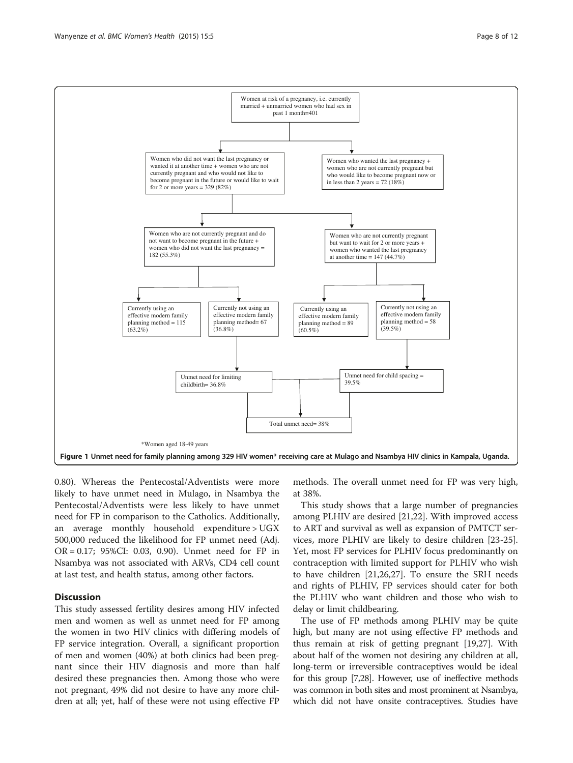<span id="page-7-0"></span>

0.80). Whereas the Pentecostal/Adventists were more likely to have unmet need in Mulago, in Nsambya the Pentecostal/Adventists were less likely to have unmet need for FP in comparison to the Catholics. Additionally, an average monthly household expenditure > UGX 500,000 reduced the likelihood for FP unmet need (Adj. OR = 0.17; 95%CI: 0.03, 0.90). Unmet need for FP in Nsambya was not associated with ARVs, CD4 cell count at last test, and health status, among other factors.

# **Discussion**

This study assessed fertility desires among HIV infected men and women as well as unmet need for FP among the women in two HIV clinics with differing models of FP service integration. Overall, a significant proportion of men and women (40%) at both clinics had been pregnant since their HIV diagnosis and more than half desired these pregnancies then. Among those who were not pregnant, 49% did not desire to have any more children at all; yet, half of these were not using effective FP

methods. The overall unmet need for FP was very high, at 38%.

This study shows that a large number of pregnancies among PLHIV are desired [\[21,22](#page-10-0)]. With improved access to ART and survival as well as expansion of PMTCT services, more PLHIV are likely to desire children [\[23-25](#page-10-0)]. Yet, most FP services for PLHIV focus predominantly on contraception with limited support for PLHIV who wish to have children [[21,26,27](#page-10-0)]. To ensure the SRH needs and rights of PLHIV, FP services should cater for both the PLHIV who want children and those who wish to delay or limit childbearing.

The use of FP methods among PLHIV may be quite high, but many are not using effective FP methods and thus remain at risk of getting pregnant [\[19,27](#page-10-0)]. With about half of the women not desiring any children at all, long-term or irreversible contraceptives would be ideal for this group [\[7,28\]](#page-10-0). However, use of ineffective methods was common in both sites and most prominent at Nsambya, which did not have onsite contraceptives. Studies have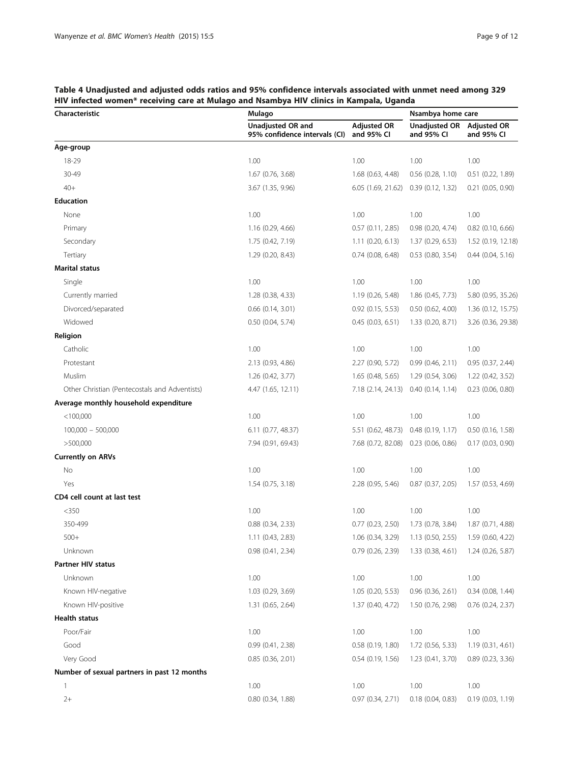| <b>Unadjusted OR and</b><br><b>Unadjusted OR</b><br><b>Adjusted OR</b><br><b>Adjusted OR</b><br>95% confidence intervals (CI)<br>and 95% CI<br>and 95% Cl<br>and 95% CI<br>Age-group<br>18-29<br>1.00<br>1.00<br>1.00<br>1.00<br>30-49<br>0.56 (0.28, 1.10)<br>1.67 (0.76, 3.68)<br>1.68 (0.63, 4.48)<br>0.51(0.22, 1.89)<br>$40+$<br>3.67 (1.35, 9.96)<br>6.05 (1.69, 21.62)<br>0.39(0.12, 1.32)<br>$0.21$ $(0.05, 0.90)$<br><b>Education</b><br>1.00<br>None<br>1.00<br>1.00<br>1.00<br>Primary<br>1.16 (0.29, 4.66)<br>$0.57$ $(0.11, 2.85)$<br>$0.98$ $(0.20, 4.74)$<br>$0.82$ (0.10, 6.66)<br>Secondary<br>1.75 (0.42, 7.19)<br>$1.11$ (0.20, 6.13)<br>1.37(0.29, 6.53)<br>Tertiary<br>1.29 (0.20, 8.43)<br>$0.74$ (0.08, 6.48)<br>$0.53$ $(0.80, 3.54)$<br>0.44(0.04, 5.16)<br><b>Marital status</b><br>1.00<br>1.00<br>1.00<br>1.00<br>Single<br>Currently married<br>1.28 (0.38, 4.33)<br>1.19 (0.26, 5.48)<br>1.86 (0.45, 7.73)<br>Divorced/separated<br>$0.66$ $(0.14, 3.01)$<br>$0.92$ $(0.15, 5.53)$<br>$0.50$ $(0.62, 4.00)$<br>Widowed<br>$0.50$ $(0.04, 5.74)$<br>0.45(0.03, 6.51)<br>1.33(0.20, 8.71)<br>Religion<br>Catholic<br>1.00<br>1.00<br>1.00<br>1.00<br>Protestant<br>2.13 (0.93, 4.86)<br>2.27 (0.90, 5.72)<br>0.99(0.46, 2.11)<br>0.95(0.37, 2.44)<br>Muslim<br>1.26 (0.42, 3.77)<br>1.65 (0.48, 5.65)<br>1.29 (0.54, 3.06)<br>1.22 (0.42, 3.52)<br>Other Christian (Pentecostals and Adventists)<br>4.47 (1.65, 12.11)<br>7.18 (2.14, 24.13)<br>0.40(0.14, 1.14)<br>$0.23$ $(0.06, 0.80)$<br>Average monthly household expenditure<br>$<$ 100,000<br>1.00<br>1.00<br>1.00<br>1.00<br>$100,000 - 500,000$<br>$6.11$ (0.77, 48.37)<br>5.51 (0.62, 48.73)<br>$0.48$ $(0.19, 1.17)$<br>$0.50$ $(0.16, 1.58)$<br>>500,000<br>7.94 (0.91, 69.43)<br>7.68 (0.72, 82.08)<br>$0.23$ (0.06, 0.86)<br>0.17(0.03, 0.90)<br><b>Currently on ARVs</b><br>No<br>1.00<br>1.00<br>1.00<br>1.00<br>Yes<br>1.54(0.75, 3.18)<br>2.28 (0.95, 5.46)<br>$0.87$ $(0.37, 2.05)$<br>1.57(0.53, 4.69)<br>CD4 cell count at last test<br>1.00<br>$<$ 350<br>1.00<br>1.00<br>1.00<br>350-499<br>$0.88$ $(0.34, 2.33)$<br>$0.77$ $(0.23, 2.50)$<br>1.73 (0.78, 3.84)<br>1.87 (0.71, 4.88) |
|-----------------------------------------------------------------------------------------------------------------------------------------------------------------------------------------------------------------------------------------------------------------------------------------------------------------------------------------------------------------------------------------------------------------------------------------------------------------------------------------------------------------------------------------------------------------------------------------------------------------------------------------------------------------------------------------------------------------------------------------------------------------------------------------------------------------------------------------------------------------------------------------------------------------------------------------------------------------------------------------------------------------------------------------------------------------------------------------------------------------------------------------------------------------------------------------------------------------------------------------------------------------------------------------------------------------------------------------------------------------------------------------------------------------------------------------------------------------------------------------------------------------------------------------------------------------------------------------------------------------------------------------------------------------------------------------------------------------------------------------------------------------------------------------------------------------------------------------------------------------------------------------------------------------------------------------------------------------------------------------------------------------------------------------------------------------------------------------------------------------------------------------------------------------------------------------|
| 1.52 (0.19, 12.18)<br>5.80 (0.95, 35.26)<br>1.36 (0.12, 15.75)<br>3.26 (0.36, 29.38)                                                                                                                                                                                                                                                                                                                                                                                                                                                                                                                                                                                                                                                                                                                                                                                                                                                                                                                                                                                                                                                                                                                                                                                                                                                                                                                                                                                                                                                                                                                                                                                                                                                                                                                                                                                                                                                                                                                                                                                                                                                                                                    |
|                                                                                                                                                                                                                                                                                                                                                                                                                                                                                                                                                                                                                                                                                                                                                                                                                                                                                                                                                                                                                                                                                                                                                                                                                                                                                                                                                                                                                                                                                                                                                                                                                                                                                                                                                                                                                                                                                                                                                                                                                                                                                                                                                                                         |
|                                                                                                                                                                                                                                                                                                                                                                                                                                                                                                                                                                                                                                                                                                                                                                                                                                                                                                                                                                                                                                                                                                                                                                                                                                                                                                                                                                                                                                                                                                                                                                                                                                                                                                                                                                                                                                                                                                                                                                                                                                                                                                                                                                                         |
|                                                                                                                                                                                                                                                                                                                                                                                                                                                                                                                                                                                                                                                                                                                                                                                                                                                                                                                                                                                                                                                                                                                                                                                                                                                                                                                                                                                                                                                                                                                                                                                                                                                                                                                                                                                                                                                                                                                                                                                                                                                                                                                                                                                         |
|                                                                                                                                                                                                                                                                                                                                                                                                                                                                                                                                                                                                                                                                                                                                                                                                                                                                                                                                                                                                                                                                                                                                                                                                                                                                                                                                                                                                                                                                                                                                                                                                                                                                                                                                                                                                                                                                                                                                                                                                                                                                                                                                                                                         |
|                                                                                                                                                                                                                                                                                                                                                                                                                                                                                                                                                                                                                                                                                                                                                                                                                                                                                                                                                                                                                                                                                                                                                                                                                                                                                                                                                                                                                                                                                                                                                                                                                                                                                                                                                                                                                                                                                                                                                                                                                                                                                                                                                                                         |
|                                                                                                                                                                                                                                                                                                                                                                                                                                                                                                                                                                                                                                                                                                                                                                                                                                                                                                                                                                                                                                                                                                                                                                                                                                                                                                                                                                                                                                                                                                                                                                                                                                                                                                                                                                                                                                                                                                                                                                                                                                                                                                                                                                                         |
|                                                                                                                                                                                                                                                                                                                                                                                                                                                                                                                                                                                                                                                                                                                                                                                                                                                                                                                                                                                                                                                                                                                                                                                                                                                                                                                                                                                                                                                                                                                                                                                                                                                                                                                                                                                                                                                                                                                                                                                                                                                                                                                                                                                         |
|                                                                                                                                                                                                                                                                                                                                                                                                                                                                                                                                                                                                                                                                                                                                                                                                                                                                                                                                                                                                                                                                                                                                                                                                                                                                                                                                                                                                                                                                                                                                                                                                                                                                                                                                                                                                                                                                                                                                                                                                                                                                                                                                                                                         |
|                                                                                                                                                                                                                                                                                                                                                                                                                                                                                                                                                                                                                                                                                                                                                                                                                                                                                                                                                                                                                                                                                                                                                                                                                                                                                                                                                                                                                                                                                                                                                                                                                                                                                                                                                                                                                                                                                                                                                                                                                                                                                                                                                                                         |
|                                                                                                                                                                                                                                                                                                                                                                                                                                                                                                                                                                                                                                                                                                                                                                                                                                                                                                                                                                                                                                                                                                                                                                                                                                                                                                                                                                                                                                                                                                                                                                                                                                                                                                                                                                                                                                                                                                                                                                                                                                                                                                                                                                                         |
|                                                                                                                                                                                                                                                                                                                                                                                                                                                                                                                                                                                                                                                                                                                                                                                                                                                                                                                                                                                                                                                                                                                                                                                                                                                                                                                                                                                                                                                                                                                                                                                                                                                                                                                                                                                                                                                                                                                                                                                                                                                                                                                                                                                         |
|                                                                                                                                                                                                                                                                                                                                                                                                                                                                                                                                                                                                                                                                                                                                                                                                                                                                                                                                                                                                                                                                                                                                                                                                                                                                                                                                                                                                                                                                                                                                                                                                                                                                                                                                                                                                                                                                                                                                                                                                                                                                                                                                                                                         |
|                                                                                                                                                                                                                                                                                                                                                                                                                                                                                                                                                                                                                                                                                                                                                                                                                                                                                                                                                                                                                                                                                                                                                                                                                                                                                                                                                                                                                                                                                                                                                                                                                                                                                                                                                                                                                                                                                                                                                                                                                                                                                                                                                                                         |
|                                                                                                                                                                                                                                                                                                                                                                                                                                                                                                                                                                                                                                                                                                                                                                                                                                                                                                                                                                                                                                                                                                                                                                                                                                                                                                                                                                                                                                                                                                                                                                                                                                                                                                                                                                                                                                                                                                                                                                                                                                                                                                                                                                                         |
|                                                                                                                                                                                                                                                                                                                                                                                                                                                                                                                                                                                                                                                                                                                                                                                                                                                                                                                                                                                                                                                                                                                                                                                                                                                                                                                                                                                                                                                                                                                                                                                                                                                                                                                                                                                                                                                                                                                                                                                                                                                                                                                                                                                         |
|                                                                                                                                                                                                                                                                                                                                                                                                                                                                                                                                                                                                                                                                                                                                                                                                                                                                                                                                                                                                                                                                                                                                                                                                                                                                                                                                                                                                                                                                                                                                                                                                                                                                                                                                                                                                                                                                                                                                                                                                                                                                                                                                                                                         |
|                                                                                                                                                                                                                                                                                                                                                                                                                                                                                                                                                                                                                                                                                                                                                                                                                                                                                                                                                                                                                                                                                                                                                                                                                                                                                                                                                                                                                                                                                                                                                                                                                                                                                                                                                                                                                                                                                                                                                                                                                                                                                                                                                                                         |
|                                                                                                                                                                                                                                                                                                                                                                                                                                                                                                                                                                                                                                                                                                                                                                                                                                                                                                                                                                                                                                                                                                                                                                                                                                                                                                                                                                                                                                                                                                                                                                                                                                                                                                                                                                                                                                                                                                                                                                                                                                                                                                                                                                                         |
|                                                                                                                                                                                                                                                                                                                                                                                                                                                                                                                                                                                                                                                                                                                                                                                                                                                                                                                                                                                                                                                                                                                                                                                                                                                                                                                                                                                                                                                                                                                                                                                                                                                                                                                                                                                                                                                                                                                                                                                                                                                                                                                                                                                         |
|                                                                                                                                                                                                                                                                                                                                                                                                                                                                                                                                                                                                                                                                                                                                                                                                                                                                                                                                                                                                                                                                                                                                                                                                                                                                                                                                                                                                                                                                                                                                                                                                                                                                                                                                                                                                                                                                                                                                                                                                                                                                                                                                                                                         |
|                                                                                                                                                                                                                                                                                                                                                                                                                                                                                                                                                                                                                                                                                                                                                                                                                                                                                                                                                                                                                                                                                                                                                                                                                                                                                                                                                                                                                                                                                                                                                                                                                                                                                                                                                                                                                                                                                                                                                                                                                                                                                                                                                                                         |
|                                                                                                                                                                                                                                                                                                                                                                                                                                                                                                                                                                                                                                                                                                                                                                                                                                                                                                                                                                                                                                                                                                                                                                                                                                                                                                                                                                                                                                                                                                                                                                                                                                                                                                                                                                                                                                                                                                                                                                                                                                                                                                                                                                                         |
|                                                                                                                                                                                                                                                                                                                                                                                                                                                                                                                                                                                                                                                                                                                                                                                                                                                                                                                                                                                                                                                                                                                                                                                                                                                                                                                                                                                                                                                                                                                                                                                                                                                                                                                                                                                                                                                                                                                                                                                                                                                                                                                                                                                         |
|                                                                                                                                                                                                                                                                                                                                                                                                                                                                                                                                                                                                                                                                                                                                                                                                                                                                                                                                                                                                                                                                                                                                                                                                                                                                                                                                                                                                                                                                                                                                                                                                                                                                                                                                                                                                                                                                                                                                                                                                                                                                                                                                                                                         |
|                                                                                                                                                                                                                                                                                                                                                                                                                                                                                                                                                                                                                                                                                                                                                                                                                                                                                                                                                                                                                                                                                                                                                                                                                                                                                                                                                                                                                                                                                                                                                                                                                                                                                                                                                                                                                                                                                                                                                                                                                                                                                                                                                                                         |
|                                                                                                                                                                                                                                                                                                                                                                                                                                                                                                                                                                                                                                                                                                                                                                                                                                                                                                                                                                                                                                                                                                                                                                                                                                                                                                                                                                                                                                                                                                                                                                                                                                                                                                                                                                                                                                                                                                                                                                                                                                                                                                                                                                                         |
|                                                                                                                                                                                                                                                                                                                                                                                                                                                                                                                                                                                                                                                                                                                                                                                                                                                                                                                                                                                                                                                                                                                                                                                                                                                                                                                                                                                                                                                                                                                                                                                                                                                                                                                                                                                                                                                                                                                                                                                                                                                                                                                                                                                         |
|                                                                                                                                                                                                                                                                                                                                                                                                                                                                                                                                                                                                                                                                                                                                                                                                                                                                                                                                                                                                                                                                                                                                                                                                                                                                                                                                                                                                                                                                                                                                                                                                                                                                                                                                                                                                                                                                                                                                                                                                                                                                                                                                                                                         |
|                                                                                                                                                                                                                                                                                                                                                                                                                                                                                                                                                                                                                                                                                                                                                                                                                                                                                                                                                                                                                                                                                                                                                                                                                                                                                                                                                                                                                                                                                                                                                                                                                                                                                                                                                                                                                                                                                                                                                                                                                                                                                                                                                                                         |
| 1.11 (0.43, 2.83)<br>1.06 (0.34, 3.29)<br>1.13 (0.50, 2.55)<br>1.59 (0.60, 4.22)<br>$500+$                                                                                                                                                                                                                                                                                                                                                                                                                                                                                                                                                                                                                                                                                                                                                                                                                                                                                                                                                                                                                                                                                                                                                                                                                                                                                                                                                                                                                                                                                                                                                                                                                                                                                                                                                                                                                                                                                                                                                                                                                                                                                              |
| Unknown<br>0.98(0.41, 2.34)<br>$0.79$ $(0.26, 2.39)$<br>1.33 (0.38, 4.61)<br>1.24 (0.26, 5.87)                                                                                                                                                                                                                                                                                                                                                                                                                                                                                                                                                                                                                                                                                                                                                                                                                                                                                                                                                                                                                                                                                                                                                                                                                                                                                                                                                                                                                                                                                                                                                                                                                                                                                                                                                                                                                                                                                                                                                                                                                                                                                          |
| Partner HIV status                                                                                                                                                                                                                                                                                                                                                                                                                                                                                                                                                                                                                                                                                                                                                                                                                                                                                                                                                                                                                                                                                                                                                                                                                                                                                                                                                                                                                                                                                                                                                                                                                                                                                                                                                                                                                                                                                                                                                                                                                                                                                                                                                                      |
| Unknown<br>1.00<br>1.00<br>1.00<br>1.00                                                                                                                                                                                                                                                                                                                                                                                                                                                                                                                                                                                                                                                                                                                                                                                                                                                                                                                                                                                                                                                                                                                                                                                                                                                                                                                                                                                                                                                                                                                                                                                                                                                                                                                                                                                                                                                                                                                                                                                                                                                                                                                                                 |
| Known HIV-negative<br>1.03 (0.29, 3.69)<br>1.05 (0.20, 5.53)<br>$0.96$ $(0.36, 2.61)$<br>$0.34$ (0.08, 1.44)                                                                                                                                                                                                                                                                                                                                                                                                                                                                                                                                                                                                                                                                                                                                                                                                                                                                                                                                                                                                                                                                                                                                                                                                                                                                                                                                                                                                                                                                                                                                                                                                                                                                                                                                                                                                                                                                                                                                                                                                                                                                            |
| Known HIV-positive<br>1.31 (0.65, 2.64)<br>1.37 (0.40, 4.72)<br>1.50 (0.76, 2.98)<br>$0.76$ $(0.24, 2.37)$                                                                                                                                                                                                                                                                                                                                                                                                                                                                                                                                                                                                                                                                                                                                                                                                                                                                                                                                                                                                                                                                                                                                                                                                                                                                                                                                                                                                                                                                                                                                                                                                                                                                                                                                                                                                                                                                                                                                                                                                                                                                              |
| <b>Health status</b>                                                                                                                                                                                                                                                                                                                                                                                                                                                                                                                                                                                                                                                                                                                                                                                                                                                                                                                                                                                                                                                                                                                                                                                                                                                                                                                                                                                                                                                                                                                                                                                                                                                                                                                                                                                                                                                                                                                                                                                                                                                                                                                                                                    |
| Poor/Fair<br>1.00<br>1.00<br>1.00<br>1.00                                                                                                                                                                                                                                                                                                                                                                                                                                                                                                                                                                                                                                                                                                                                                                                                                                                                                                                                                                                                                                                                                                                                                                                                                                                                                                                                                                                                                                                                                                                                                                                                                                                                                                                                                                                                                                                                                                                                                                                                                                                                                                                                               |
| Good<br>0.99(0.41, 2.38)<br>$0.58$ (0.19, 1.80)<br>1.72 (0.56, 5.33)<br>1.19(0.31, 4.61)                                                                                                                                                                                                                                                                                                                                                                                                                                                                                                                                                                                                                                                                                                                                                                                                                                                                                                                                                                                                                                                                                                                                                                                                                                                                                                                                                                                                                                                                                                                                                                                                                                                                                                                                                                                                                                                                                                                                                                                                                                                                                                |
| Very Good<br>0.85(0.36, 2.01)<br>$0.54$ (0.19, 1.56)<br>1.23 (0.41, 3.70)<br>$0.89$ $(0.23, 3.36)$                                                                                                                                                                                                                                                                                                                                                                                                                                                                                                                                                                                                                                                                                                                                                                                                                                                                                                                                                                                                                                                                                                                                                                                                                                                                                                                                                                                                                                                                                                                                                                                                                                                                                                                                                                                                                                                                                                                                                                                                                                                                                      |
| Number of sexual partners in past 12 months                                                                                                                                                                                                                                                                                                                                                                                                                                                                                                                                                                                                                                                                                                                                                                                                                                                                                                                                                                                                                                                                                                                                                                                                                                                                                                                                                                                                                                                                                                                                                                                                                                                                                                                                                                                                                                                                                                                                                                                                                                                                                                                                             |
| 1.00<br>1.00<br>$\mathbf{1}$<br>1.00<br>1.00                                                                                                                                                                                                                                                                                                                                                                                                                                                                                                                                                                                                                                                                                                                                                                                                                                                                                                                                                                                                                                                                                                                                                                                                                                                                                                                                                                                                                                                                                                                                                                                                                                                                                                                                                                                                                                                                                                                                                                                                                                                                                                                                            |
| $2+$<br>$0.80$ $(0.34, 1.88)$<br>$0.18$ (0.04, 0.83)<br>0.97(0.34, 2.71)<br>0.19(0.03, 1.19)                                                                                                                                                                                                                                                                                                                                                                                                                                                                                                                                                                                                                                                                                                                                                                                                                                                                                                                                                                                                                                                                                                                                                                                                                                                                                                                                                                                                                                                                                                                                                                                                                                                                                                                                                                                                                                                                                                                                                                                                                                                                                            |

<span id="page-8-0"></span>Table 4 Unadjusted and adjusted odds ratios and 95% confidence intervals associated with unmet need among 329 HIV infected women\* receiving care at Mulago and Nsambya HIV clinics in Kampala, Uganda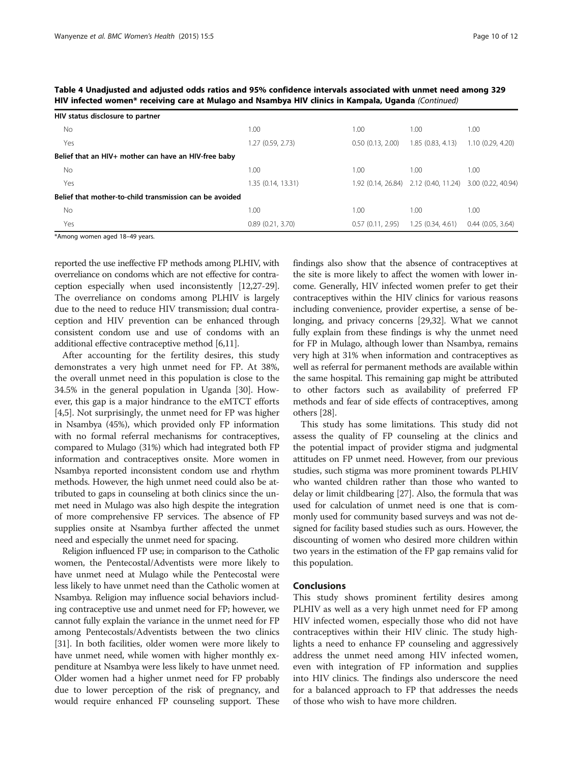| HIV status disclosure to partner                        |                    |                  |                                       |                    |
|---------------------------------------------------------|--------------------|------------------|---------------------------------------|--------------------|
| <b>No</b>                                               | 1.00               | 1.00             | 1.00                                  | 1.00               |
| Yes                                                     | 1.27 (0.59, 2.73)  | 0.50(0.13, 2.00) | 1.85(0.83, 4.13)                      | 1.10(0.29, 4.20)   |
| Belief that an HIV+ mother can have an HIV-free baby    |                    |                  |                                       |                    |
| <b>No</b>                                               | 1.00               | 1.00             | 1.00                                  | 1.00               |
| Yes                                                     | 1.35 (0.14, 13.31) |                  | 1.92 (0.14, 26.84) 2.12 (0.40, 11.24) | 3.00 (0.22, 40.94) |
| Belief that mother-to-child transmission can be avoided |                    |                  |                                       |                    |
| <b>No</b>                                               | 1.00               | 1.00             | 1.00                                  | 1.00               |
| Yes                                                     | 0.89(0.21, 3.70)   | 0.57(0.11, 2.95) | 1.25(0.34, 4.61)                      | 0.44(0.05, 3.64)   |

Table 4 Unadjusted and adjusted odds ratios and 95% confidence intervals associated with unmet need among 329 HIV infected women\* receiving care at Mulago and Nsambya HIV clinics in Kampala, Uganda (Continued)

\*Among women aged 18–49 years.

reported the use ineffective FP methods among PLHIV, with overreliance on condoms which are not effective for contraception especially when used inconsistently [\[12,27](#page-10-0)-[29](#page-10-0)]. The overreliance on condoms among PLHIV is largely due to the need to reduce HIV transmission; dual contraception and HIV prevention can be enhanced through consistent condom use and use of condoms with an additional effective contraceptive method [\[6,11\]](#page-10-0).

After accounting for the fertility desires, this study demonstrates a very high unmet need for FP. At 38%, the overall unmet need in this population is close to the 34.5% in the general population in Uganda [[30\]](#page-11-0). However, this gap is a major hindrance to the eMTCT efforts [[4,5\]](#page-10-0). Not surprisingly, the unmet need for FP was higher in Nsambya (45%), which provided only FP information with no formal referral mechanisms for contraceptives, compared to Mulago (31%) which had integrated both FP information and contraceptives onsite. More women in Nsambya reported inconsistent condom use and rhythm methods. However, the high unmet need could also be attributed to gaps in counseling at both clinics since the unmet need in Mulago was also high despite the integration of more comprehensive FP services. The absence of FP supplies onsite at Nsambya further affected the unmet need and especially the unmet need for spacing.

Religion influenced FP use; in comparison to the Catholic women, the Pentecostal/Adventists were more likely to have unmet need at Mulago while the Pentecostal were less likely to have unmet need than the Catholic women at Nsambya. Religion may influence social behaviors including contraceptive use and unmet need for FP; however, we cannot fully explain the variance in the unmet need for FP among Pentecostals/Adventists between the two clinics [[31](#page-11-0)]. In both facilities, older women were more likely to have unmet need, while women with higher monthly expenditure at Nsambya were less likely to have unmet need. Older women had a higher unmet need for FP probably due to lower perception of the risk of pregnancy, and would require enhanced FP counseling support. These

findings also show that the absence of contraceptives at the site is more likely to affect the women with lower income. Generally, HIV infected women prefer to get their contraceptives within the HIV clinics for various reasons including convenience, provider expertise, a sense of belonging, and privacy concerns [\[29,](#page-10-0)[32\]](#page-11-0). What we cannot fully explain from these findings is why the unmet need for FP in Mulago, although lower than Nsambya, remains very high at 31% when information and contraceptives as well as referral for permanent methods are available within the same hospital. This remaining gap might be attributed to other factors such as availability of preferred FP methods and fear of side effects of contraceptives, among others [\[28\]](#page-10-0).

This study has some limitations. This study did not assess the quality of FP counseling at the clinics and the potential impact of provider stigma and judgmental attitudes on FP unmet need. However, from our previous studies, such stigma was more prominent towards PLHIV who wanted children rather than those who wanted to delay or limit childbearing [\[27](#page-10-0)]. Also, the formula that was used for calculation of unmet need is one that is commonly used for community based surveys and was not designed for facility based studies such as ours. However, the discounting of women who desired more children within two years in the estimation of the FP gap remains valid for this population.

### Conclusions

This study shows prominent fertility desires among PLHIV as well as a very high unmet need for FP among HIV infected women, especially those who did not have contraceptives within their HIV clinic. The study highlights a need to enhance FP counseling and aggressively address the unmet need among HIV infected women, even with integration of FP information and supplies into HIV clinics. The findings also underscore the need for a balanced approach to FP that addresses the needs of those who wish to have more children.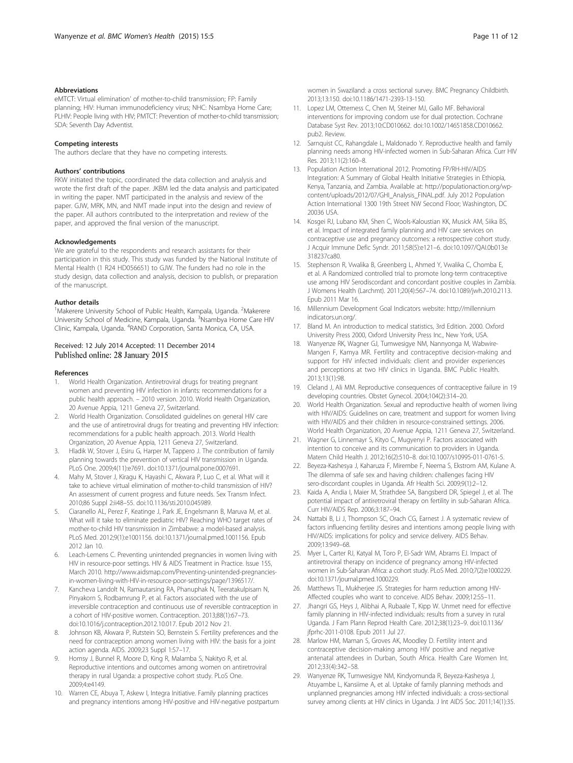#### <span id="page-10-0"></span>Abbreviations

eMTCT: Virtual elimination' of mother-to-child transmission; FP: Family planning; HIV: Human immunodeficiency virus; NHC: Nsambya Home Care; PLHIV: People living with HIV; PMTCT: Prevention of mother-to-child transmission; SDA: Seventh Day Adventist.

#### Competing interests

The authors declare that they have no competing interests.

#### Authors' contributions

RKW initiated the topic, coordinated the data collection and analysis and wrote the first draft of the paper. JKBM led the data analysis and participated in writing the paper. NMT participated in the analysis and review of the paper. GJW, MRK, MN, and NMT made input into the design and review of the paper. All authors contributed to the interpretation and review of the paper, and approved the final version of the manuscript.

#### Acknowledgements

We are grateful to the respondents and research assistants for their participation in this study. This study was funded by the National Institute of Mental Health (1 R24 HD056651) to GJW. The funders had no role in the study design, data collection and analysis, decision to publish, or preparation of the manuscript.

#### Author details

<sup>1</sup>Makerere University School of Public Health, Kampala, Uganda. <sup>2</sup>Makerere University School of Medicine, Kampala, Uganda. <sup>3</sup>Nsambya Home Care HIV Clinic, Kampala, Uganda. <sup>4</sup>RAND Corporation, Santa Monica, CA, USA.

#### Received: 12 July 2014 Accepted: 11 December 2014 Published online: 28 January 2015

#### References

- 1. World Health Organization. Antiretroviral drugs for treating pregnant women and preventing HIV infection in infants: recommendations for a public health approach. – 2010 version. 2010. World Health Organization, 20 Avenue Appia, 1211 Geneva 27, Switzerland.
- 2. World Health Organization. Consolidated guidelines on general HIV care and the use of antiretroviral drugs for treating and preventing HIV infection: recommendations for a public health approach. 2013. World Health Organization, 20 Avenue Appia, 1211 Geneva 27, Switzerland.
- 3. Hladik W, Stover J, Esiru G, Harper M, Tappero J. The contribution of family planning towards the prevention of vertical HIV transmission in Uganda. PLoS One. 2009;4(11):e7691. doi:10.1371/journal.pone.0007691.
- 4. Mahy M, Stover J, Kiragu K, Hayashi C, Akwara P, Luo C, et al. What will it take to achieve virtual elimination of mother-to-child transmission of HIV? An assessment of current progress and future needs. Sex Transm Infect. 2010;86 Suppl 2:ii48–55. doi:10.1136/sti.2010.045989.
- 5. Ciaranello AL, Perez F, Keatinge J, Park JE, Engelsmann B, Maruva M, et al. What will it take to eliminate pediatric HIV? Reaching WHO target rates of mother-to-child HIV transmission in Zimbabwe: a model-based analysis. PLoS Med. 2012;9(1):e1001156. doi:10.1371/journal.pmed.1001156. Epub 2012 Jan 10.
- Leach-Lemens C. Preventing unintended pregnancies in women living with HIV in resource-poor settings. HIV & AIDS Treatment in Practice. Issue 155, March 2010. [http://www.aidsmap.com/Preventing-unintended-pregnancies](http://www.aidsmap.com/Preventing-unintended-pregnancies-in-women-living-with-HIV-in-resource-poor-settings/page/1396517/)[in-women-living-with-HIV-in-resource-poor-settings/page/1396517/](http://www.aidsmap.com/Preventing-unintended-pregnancies-in-women-living-with-HIV-in-resource-poor-settings/page/1396517/).
- 7. Kancheva Landolt N, Ramautarsing RA, Phanuphak N, Teeratakulpisarn N, Pinyakorn S, Rodbamrung P, et al. Factors associated with the use of irreversible contraception and continuous use of reversible contraception in a cohort of HIV-positive women. Contraception. 2013;88(1):67–73. doi:10.1016/j.contraception.2012.10.017. Epub 2012 Nov 21.
- 8. Johnson KB, Akwara P, Rutstein SO, Bernstein S. Fertility preferences and the need for contraception among women living with HIV: the basis for a joint action agenda. AIDS. 2009;23 Suppl 1:S7–17.
- Homsy J, Bunnel R, Moore D, King R, Malamba S, Nakityo R, et al. Reproductive intentions and outcomes among women on antiretroviral therapy in rural Uganda: a prospective cohort study. PLoS One. 2009;4:e4149.
- 10. Warren CE, Abuya T, Askew I, Integra Initiative. Family planning practices and pregnancy intentions among HIV-positive and HIV-negative postpartum

women in Swaziland: a cross sectional survey. BMC Pregnancy Childbirth. 2013;13:150. doi:10.1186/1471-2393-13-150.

- 11. Lopez LM, Otterness C, Chen M, Steiner MJ, Gallo MF. Behavioral interventions for improving condom use for dual protection. Cochrane Database Syst Rev. 2013;10:CD010662. doi:10.1002/14651858.CD010662. pub2. Review.
- 12. Sarnquist CC, Rahangdale L, Maldonado Y, Reproductive health and family planning needs among HIV-infected women in Sub-Saharan Africa. Curr HIV Res. 2013;11(2):160–8.
- 13. Population Action International 2012. Promoting FP/RH-HIV/AIDS Integration: A Summary of Global Health Initiative Strategies in Ethiopia, Kenya, Tanzania, and Zambia. Available at: [http://populationaction.org/wp](http://populationaction.org/wp-content/uploads/2012/07/GHI_Analysis_FINAL.pdf)[content/uploads/2012/07/GHI\\_Analysis\\_FINAL.pdf.](http://populationaction.org/wp-content/uploads/2012/07/GHI_Analysis_FINAL.pdf) July 2012 Population Action International 1300 19th Street NW Second Floor; Washington, DC 20036 USA.
- 14. Kosgei RJ, Lubano KM, Shen C, Wools-Kaloustian KK, Musick AM, Siika BS, et al. Impact of integrated family planning and HIV care services on contraceptive use and pregnancy outcomes: a retrospective cohort study. J Acquir Immune Defic Syndr. 2011;58(5):e121–6. doi:10.1097/QAI.0b013e 318237ca80.
- 15. Stephenson R, Vwalika B, Greenberg L, Ahmed Y, Vwalika C, Chomba E, et al. A Randomized controlled trial to promote long-term contraceptive use among HIV Serodiscordant and concordant positive couples in Zambia. J Womens Health (Larchmt). 2011;20(4):567–74. doi:10.1089/jwh.2010.2113. Epub 2011 Mar 16.
- 16. Millennium Development Goal Indicators website: [http://millennium](http://millenniumindicators.un.org/) [indicators.un.org/](http://millenniumindicators.un.org/).
- 17. Bland M. An introduction to medical statistics, 3rd Edition. 2000. Oxford University Press 2000, Oxford University Press Inc., New York, USA.
- 18. Wanyenze RK, Wagner GJ, Tumwesigye NM, Nannyonga M, Wabwire-Mangen F, Kamya MR. Fertility and contraceptive decision-making and support for HIV infected individuals: client and provider experiences and perceptions at two HIV clinics in Uganda. BMC Public Health. 2013;13(1):98.
- 19. Cleland J, Ali MM. Reproductive consequences of contraceptive failure in 19 developing countries. Obstet Gynecol. 2004;104(2):314–20.
- 20. World Health Organization. Sexual and reproductive health of women living with HIV/AIDS: Guidelines on care, treatment and support for women living with HIV/AIDS and their children in resource-constrained settings. 2006. World Health Organization, 20 Avenue Appia, 1211 Geneva 27, Switzerland.
- 21. Wagner G, Linnemayr S, Kityo C, Mugyenyi P. Factors associated with intention to conceive and its communication to providers in Uganda. Matern Child Health J. 2012;16(2):510–8. doi:10.1007/s10995-011-0761-5.
- 22. Beyeza-Kashesya J, Kaharuza F, Mirembe F, Neema S, Ekstrom AM, Kulane A. The dilemma of safe sex and having children: challenges facing HIV sero-discordant couples in Uganda. Afr Health Sci. 2009;9(1):2–12.
- 23. Kaida A, Andia I, Maier M, Strathdee SA, Bangsberd DR, Spiegel J, et al. The potential impact of antiretroviral therapy on fertility in sub-Saharan Africa. Curr HIV/AIDS Rep. 2006;3:187–94.
- 24. Nattabi B, Li J, Thompson SC, Orach CG, Earnest J. A systematic review of factors influencing fertility desires and intentions among people living with HIV/AIDS: implications for policy and service delivery. AIDS Behav. 2009;13:949–68.
- 25. Myer L, Carter RJ, Katyal M, Toro P, El-Sadr WM, Abrams EJ. Impact of antiretroviral therapy on incidence of pregnancy among HIV-infected women in Sub-Saharan Africa: a cohort study. PLoS Med. 2010;7(2):e1000229. doi:10.1371/journal.pmed.1000229.
- 26. Matthews TL, Mukherjee JS. Strategies for harm reduction among HIV-Affected couples who want to conceive. AIDS Behav. 2009;12:S5–11.
- 27. Jhangri GS, Heys J, Alibhai A, Rubaale T, Kipp W. Unmet need for effective family planning in HIV-infected individuals: results from a survey in rural Uganda. J Fam Plann Reprod Health Care. 2012;38(1):23–9. doi:10.1136/ jfprhc-2011-0108. Epub 2011 Jul 27.
- 28. Marlow HM, Maman S, Groves AK, Moodley D. Fertility intent and contraceptive decision-making among HIV positive and negative antenatal attendees in Durban, South Africa. Health Care Women Int. 2012;33(4):342–58.
- 29. Wanyenze RK, Tumwesigye NM, Kindyomunda R, Beyeza-Kashesya J, Atuyambe L, Kansiime A, et al. Uptake of family planning methods and unplanned pregnancies among HIV infected individuals: a cross-sectional survey among clients at HIV clinics in Uganda. J Int AIDS Soc. 2011;14(1):35.